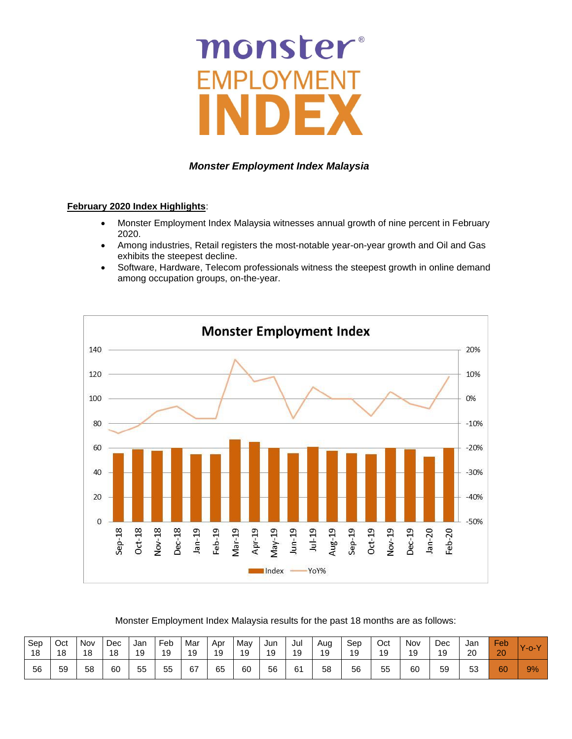# monster

# *Monster Employment Index Malaysia*

# **February 2020 Index Highlights**:

- Monster Employment Index Malaysia witnesses annual growth of nine percent in February 2020.
- Among industries, Retail registers the most-notable year-on-year growth and Oil and Gas exhibits the steepest decline.
- Software, Hardware, Telecom professionals witness the steepest growth in online demand among occupation groups, on-the-year.



Monster Employment Index Malaysia results for the past 18 months are as follows:

| Sep | Oct | Nov | Dec | Jan | Feb | Mar | Apr | May | Jun | Jul | Aug | Sep | Oct | Nov | Dec | Jan | Feb. | $-0 - V$ |
|-----|-----|-----|-----|-----|-----|-----|-----|-----|-----|-----|-----|-----|-----|-----|-----|-----|------|----------|
| 18  | 18  | 18  | 18  | 19  | 19  | 19  | 19  | 19  | 19  | 19  | 19  | 19  | 19  | 19  | 19  | 20  | 20   |          |
| 56  | 59  | 58  | 60  | 55  | 55  | 67  | 65  | 60  | 56  | 61  | 58  | 56  | 55  | 60  | 59  | 53  | 60   | 9%       |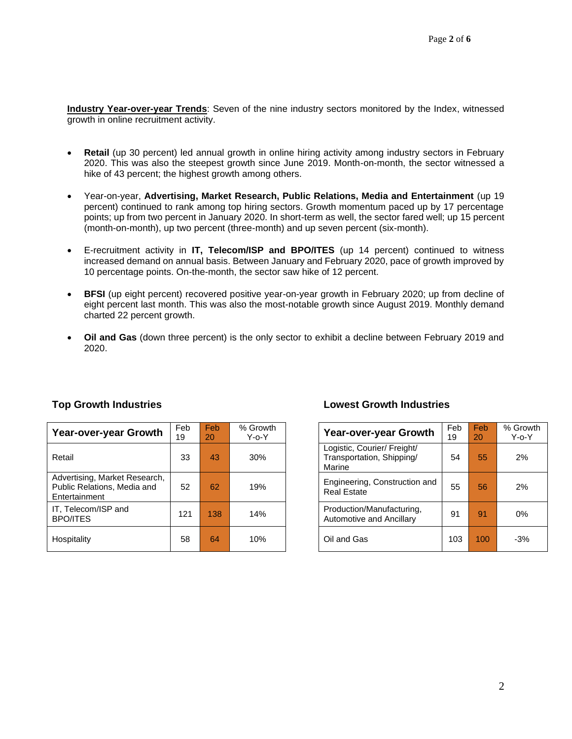**Industry Year-over-year Trends**: Seven of the nine industry sectors monitored by the Index, witnessed growth in online recruitment activity.

- **Retail** (up 30 percent) led annual growth in online hiring activity among industry sectors in February 2020. This was also the steepest growth since June 2019. Month-on-month, the sector witnessed a hike of 43 percent; the highest growth among others.
- Year-on-year, **Advertising, Market Research, Public Relations, Media and Entertainment** (up 19 percent) continued to rank among top hiring sectors. Growth momentum paced up by 17 percentage points; up from two percent in January 2020. In short-term as well, the sector fared well; up 15 percent (month-on-month), up two percent (three-month) and up seven percent (six-month).
- E-recruitment activity in **IT, Telecom/ISP and BPO/ITES** (up 14 percent) continued to witness increased demand on annual basis. Between January and February 2020, pace of growth improved by 10 percentage points. On-the-month, the sector saw hike of 12 percent.
- **BFSI** (up eight percent) recovered positive year-on-year growth in February 2020; up from decline of eight percent last month. This was also the most-notable growth since August 2019. Monthly demand charted 22 percent growth.
- **Oil and Gas** (down three percent) is the only sector to exhibit a decline between February 2019 and 2020.

| Year-over-year Growth                                                         | Feb<br>19 | Feb<br>20 | % Growth<br>$Y$ -o- $Y$ | Year-over-year Growth                                              | Feb<br>19 | <b>Feb</b><br>20 | $%$ Gro<br>Y-o-` |
|-------------------------------------------------------------------------------|-----------|-----------|-------------------------|--------------------------------------------------------------------|-----------|------------------|------------------|
| Retail                                                                        | 33        | 43        | 30%                     | Logistic, Courier/ Freight/<br>Transportation, Shipping/<br>Marine | 54        | 55               | 2%               |
| Advertising, Market Research,<br>Public Relations, Media and<br>Entertainment | 52        | 62        | 19%                     | Engineering, Construction and<br><b>Real Estate</b>                | 55        | 56               | 2%               |
| IT, Telecom/ISP and<br><b>BPO/ITES</b>                                        | 121       | 138       | 14%                     | Production/Manufacturing,<br>Automotive and Ancillary              | 91        | 91               | 0%               |
| Hospitality                                                                   | 58        | 64        | 10%                     | Oil and Gas                                                        | 103       | 100              | $-3%$            |

### **Top Growth Industries Lowest Growth Industries**

| eb<br>9 | Feb<br>20 | % Growth<br>Y-o-Y | Year-over-year Growth                                              | Feb<br>19 | Feb<br>20 | % Growth<br>$Y$ -o- $Y$ |
|---------|-----------|-------------------|--------------------------------------------------------------------|-----------|-----------|-------------------------|
| 33      | 43        | 30%               | Logistic, Courier/ Freight/<br>Transportation, Shipping/<br>Marine | 54        | 55        | 2%                      |
| 52      | 62        | 19%               | Engineering, Construction and<br><b>Real Estate</b>                | 55        | 56        | 2%                      |
| 21      | 138       | 14%               | Production/Manufacturing,<br>Automotive and Ancillary              | 91        | 91        | $0\%$                   |
| 58      | 64        | 10%               | Oil and Gas                                                        | 103       | 100       | $-3%$                   |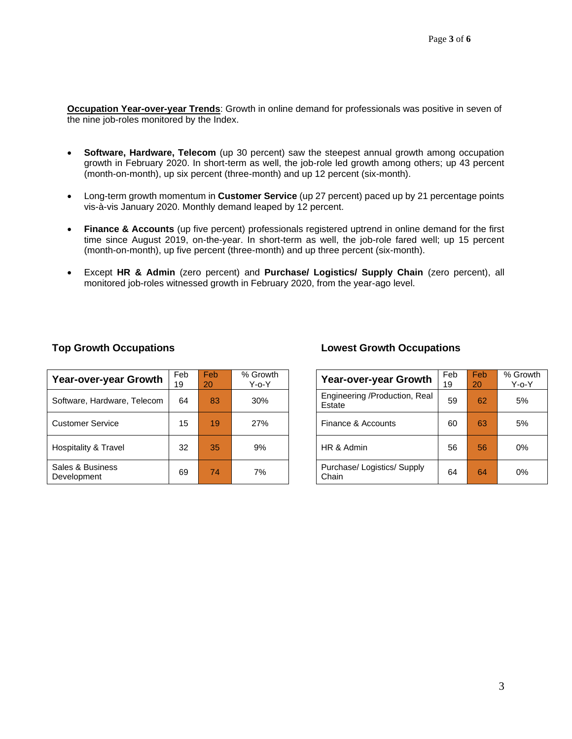**Occupation Year-over-year Trends**: Growth in online demand for professionals was positive in seven of the nine job-roles monitored by the Index.

- **Software, Hardware, Telecom** (up 30 percent) saw the steepest annual growth among occupation growth in February 2020. In short-term as well, the job-role led growth among others; up 43 percent (month-on-month), up six percent (three-month) and up 12 percent (six-month).
- Long-term growth momentum in **Customer Service** (up 27 percent) paced up by 21 percentage points vis-à-vis January 2020. Monthly demand leaped by 12 percent.
- **Finance & Accounts** (up five percent) professionals registered uptrend in online demand for the first time since August 2019, on-the-year. In short-term as well, the job-role fared well; up 15 percent (month-on-month), up five percent (three-month) and up three percent (six-month).
- Except **HR & Admin** (zero percent) and **Purchase/ Logistics/ Supply Chain** (zero percent), all monitored job-roles witnessed growth in February 2020, from the year-ago level.

| <b>Year-over-year Growth</b>    | Feb<br>19 | Feb<br>20 | % Growth<br>$Y$ -o- $Y$ | <b>Year-over-year Growth</b>            | Feb<br>19 | Feb<br>20 | $%$ Gro<br>Y-o- |
|---------------------------------|-----------|-----------|-------------------------|-----------------------------------------|-----------|-----------|-----------------|
| Software, Hardware, Telecom     | 64        | 83        | 30%                     | Engineering /Production, Real<br>Estate | 59        | 62        | 5%              |
| <b>Customer Service</b>         | 15        | 19        | 27%                     | Finance & Accounts                      | 60        | 63        | 5%              |
| Hospitality & Travel            | 32        | 35        | 9%                      | HR & Admin                              | 56        | 56        | 0%              |
| Sales & Business<br>Development | 69        | 74        | 7%                      | Purchase/ Logistics/ Supply<br>Chain    | 64        | 64        | 0%              |

# **Top Growth Occupations Lowest Growth Occupations**

| <b>Year-over-year Growth</b>            | Feb<br>19 | Feb<br>20 | % Growth<br>$Y$ -o- $Y$ |
|-----------------------------------------|-----------|-----------|-------------------------|
| Engineering /Production, Real<br>Estate | 59        | 62        | 5%                      |
| Finance & Accounts                      | 60        | 63        | 5%                      |
| HR & Admin                              | 56        | 56        | $0\%$                   |
| Purchase/ Logistics/ Supply<br>Chain    | 64        | 64        | $0\%$                   |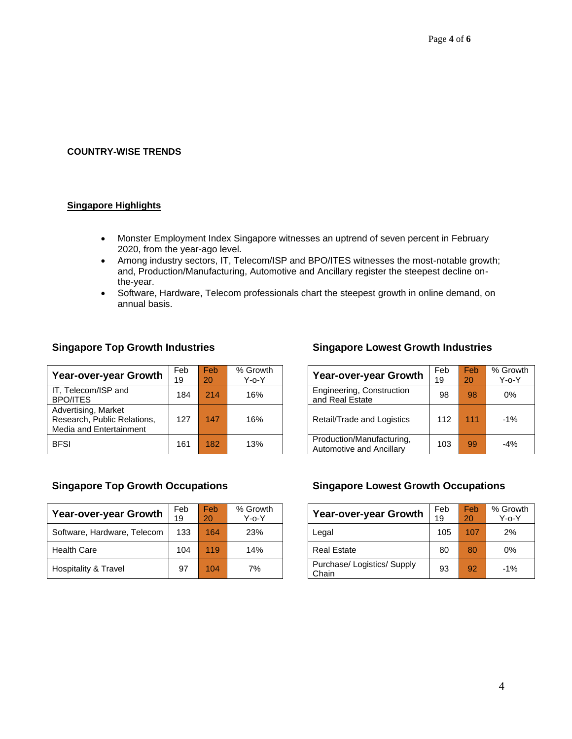### **COUNTRY-WISE TRENDS**

# **Singapore Highlights**

- Monster Employment Index Singapore witnesses an uptrend of seven percent in February 2020, from the year-ago level.
- Among industry sectors, IT, Telecom/ISP and BPO/ITES witnesses the most-notable growth; and, Production/Manufacturing, Automotive and Ancillary register the steepest decline onthe-year.
- Software, Hardware, Telecom professionals chart the steepest growth in online demand, on annual basis.

|                                                                               | Feb | <b>Feb</b> | % Growth    |                                                       |
|-------------------------------------------------------------------------------|-----|------------|-------------|-------------------------------------------------------|
| Year-over-year Growth                                                         | 19  | 20         | $Y$ -o- $Y$ | <b>Year-over-year Grow</b>                            |
| IT, Telecom/ISP and<br><b>BPO/ITES</b>                                        | 184 | 214        | 16%         | Engineering, Construction<br>and Real Estate          |
| Advertising, Market<br>Research, Public Relations,<br>Media and Entertainment | 127 | 147        | 16%         | Retail/Trade and Logistics                            |
| <b>BFSI</b>                                                                   | 161 | 182        | 13%         | Production/Manufacturing,<br>Automotive and Ancillary |

# **Singapore Top Growth Industries Singapore Lowest Growth Industries**

| $\overline{\phantom{a}}$ eb<br>۱9 | Feb<br>20 | % Growth<br>$Y$ -o- $Y$ | Year-over-year Growth                                 | Feb<br>19 | Feb<br>20 | % Growth<br>$Y$ -o- $Y$ |
|-----------------------------------|-----------|-------------------------|-------------------------------------------------------|-----------|-----------|-------------------------|
| 184                               | 214       | 16%                     | Engineering, Construction<br>and Real Estate          | 98        | 98        | $0\%$                   |
| 127                               | 147       | 16%                     | Retail/Trade and Logistics                            | 112       | 111       | $-1\%$                  |
| 161                               | 182       | 13%                     | Production/Manufacturing,<br>Automotive and Ancillary | 103       | 99        | $-4%$                   |

| Year-over-year Growth       | Feb<br>19 | <b>Feb</b><br>20 | % Growth<br>$Y$ -o- $Y$ | <b>Year-over-year Growth</b>         | Feb<br>19 | Feb<br>20 | % Gro<br>$Y$ -0- |
|-----------------------------|-----------|------------------|-------------------------|--------------------------------------|-----------|-----------|------------------|
| Software, Hardware, Telecom | 133       | 164              | 23%                     | Legal                                | 105       | 107       | 2%               |
| <b>Health Care</b>          | 104       | 119              | 14%                     | <b>Real Estate</b>                   | 80        | 80        | 0%               |
| Hospitality & Travel        | 97        | 104              | 7%                      | Purchase/ Logistics/ Supply<br>Chain | 93        | 92        | $-1%$            |

### **Singapore Top Growth Occupations Singapore Lowest Growth Occupations**

| Year-over-year Growth                | Feb<br>19 | Feb<br>20 | % Growth<br>$Y$ -0- $Y$ |
|--------------------------------------|-----------|-----------|-------------------------|
| Legal                                | 105       | 107       | 2%                      |
| <b>Real Estate</b>                   | 80        | 80        | 0%                      |
| Purchase/ Logistics/ Supply<br>Chain | 93        | 92        | $-1%$                   |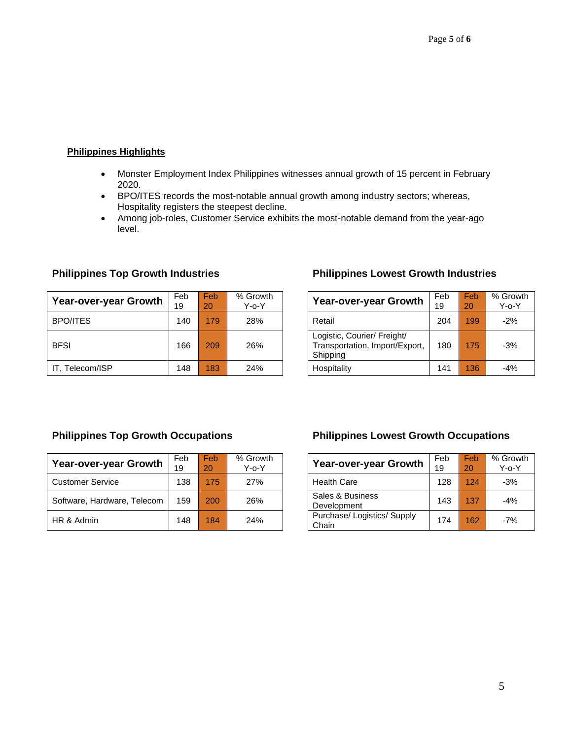# **Philippines Highlights**

- Monster Employment Index Philippines witnesses annual growth of 15 percent in February 2020.
- BPO/ITES records the most-notable annual growth among industry sectors; whereas, Hospitality registers the steepest decline.
- Among job-roles, Customer Service exhibits the most-notable demand from the year-ago level.

| Year-over-year Growth | Feb<br>19 | <b>Feb</b><br>20 | % Growth<br>$Y$ -o- $Y$ | <b>Year-over-year Growth</b>                                              | Feb<br>19 | Feb<br>20 | $%$ Gro<br>$Y$ -o- $Y$ |
|-----------------------|-----------|------------------|-------------------------|---------------------------------------------------------------------------|-----------|-----------|------------------------|
| <b>BPO/ITES</b>       | 140       | 179              | 28%                     | Retail                                                                    | 204       | 199       | $-2%$                  |
| <b>BFSI</b>           | 166       | 209              | 26%                     | Logistic, Courier/ Freight/<br>Transportation, Import/Export,<br>Shipping | 180       | 175       | $-3%$                  |
| IT. Telecom/ISP       | 148       | 183              | 24%                     | Hospitality                                                               | 141       | 136       | $-4%$                  |

# **Philippines Top Growth Industries Philippines Lowest Growth Industries**

| <b>Year-over-year Growth</b>                                              | Feb<br>19 | Feb<br>20 | % Growth<br>Y-o-Y |
|---------------------------------------------------------------------------|-----------|-----------|-------------------|
| Retail                                                                    | 204       | 199       | $-2%$             |
| Logistic, Courier/ Freight/<br>Transportation, Import/Export,<br>Shipping | 180       | 175       | $-3%$             |
| Hospitality                                                               | 141       | 136       | $-4%$             |

| Year-over-year Growth       | Feb<br>19 | <b>Feb</b><br>20 | % Growth<br>Y-o-Y | <b>Year-over-year Growth</b>         | Feb<br>19 | Feb<br>20 | $%$ Gro<br>Y-o-` |
|-----------------------------|-----------|------------------|-------------------|--------------------------------------|-----------|-----------|------------------|
| <b>Customer Service</b>     | 138       | 175              | 27%               | <b>Health Care</b>                   | 128       | 124       | $-3%$            |
| Software, Hardware, Telecom | 159       | $200^{\circ}$    | 26%               | Sales & Business<br>Development      | 143       | 137       | $-4%$            |
| HR & Admin                  | 148       | 184              | 24%               | Purchase/ Logistics/ Supply<br>Chain | 174       | 162       | $-7%$            |

# **Philippines Top Growth Occupations Philippines Lowest Growth Occupations**

| Year-over-year Growth                | Feb<br>19 | Feb<br>20 | % Growth<br>$Y$ -o- $Y$ |
|--------------------------------------|-----------|-----------|-------------------------|
| <b>Health Care</b>                   | 128       | 124       | $-3%$                   |
| Sales & Business<br>Development      | 143       | 137       | $-4%$                   |
| Purchase/ Logistics/ Supply<br>Chain | 174       | 162       | $-7%$                   |